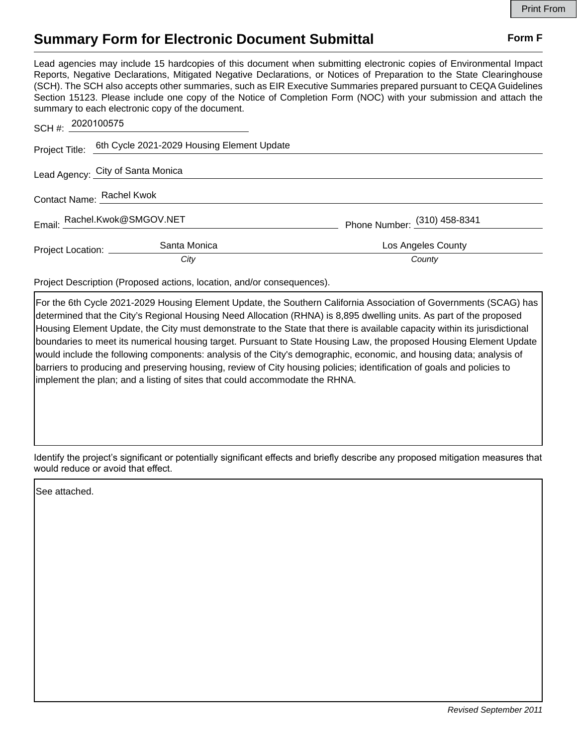## **Summary Form for Electronic Document Submittal Form F Form F**

Lead agencies may include 15 hardcopies of this document when submitting electronic copies of Environmental Impact Reports, Negative Declarations, Mitigated Negative Declarations, or Notices of Preparation to the State Clearinghouse (SCH). The SCH also accepts other summaries, such as EIR Executive Summaries prepared pursuant to CEQA Guidelines Section 15123. Please include one copy of the Notice of Completion Form (NOC) with your submission and attach the summary to each electronic copy of the document.

| SCH #: 2020100575            |                                                           |                              |
|------------------------------|-----------------------------------------------------------|------------------------------|
|                              | Project Title: 6th Cycle 2021-2029 Housing Element Update |                              |
|                              | Lead Agency: City of Santa Monica                         |                              |
| Contact Name: Rachel Kwok    |                                                           |                              |
| Email: Rachel.Kwok@SMGOV.NET |                                                           | Phone Number: (310) 458-8341 |
| Project Location: _______    | Santa Monica                                              | Los Angeles County           |
|                              | City                                                      | County                       |

Project Description (Proposed actions, location, and/or consequences).

For the 6th Cycle 2021-2029 Housing Element Update, the Southern California Association of Governments (SCAG) has determined that the City's Regional Housing Need Allocation (RHNA) is 8,895 dwelling units. As part of the proposed Housing Element Update, the City must demonstrate to the State that there is available capacity within its jurisdictional boundaries to meet its numerical housing target. Pursuant to State Housing Law, the proposed Housing Element Update would include the following components: analysis of the City's demographic, economic, and housing data; analysis of barriers to producing and preserving housing, review of City housing policies; identification of goals and policies to implement the plan; and a listing of sites that could accommodate the RHNA.

Identify the project's significant or potentially significant effects and briefly describe any proposed mitigation measures that would reduce or avoid that effect.

See attached.